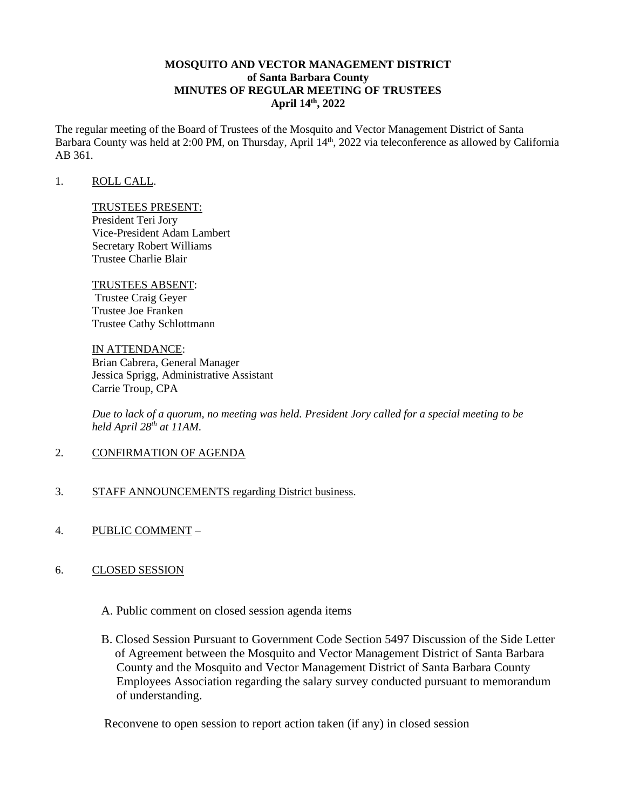## **MOSQUITO AND VECTOR MANAGEMENT DISTRICT of Santa Barbara County MINUTES OF REGULAR MEETING OF TRUSTEES April 14th, 2022**

The regular meeting of the Board of Trustees of the Mosquito and Vector Management District of Santa Barbara County was held at 2:00 PM, on Thursday, April 14<sup>th</sup>, 2022 via teleconference as allowed by California AB 361.

#### 1. ROLL CALL.

# TRUSTEES PRESENT:

President Teri Jory Vice-President Adam Lambert Secretary Robert Williams Trustee Charlie Blair

# TRUSTEES ABSENT:

Trustee Craig Geyer Trustee Joe Franken Trustee Cathy Schlottmann

IN ATTENDANCE: Brian Cabrera, General Manager Jessica Sprigg, Administrative Assistant Carrie Troup, CPA

*Due to lack of a quorum, no meeting was held. President Jory called for a special meeting to be held April 28th at 11AM.* 

- 2. CONFIRMATION OF AGENDA
- 3. STAFF ANNOUNCEMENTS regarding District business.
- 4. PUBLIC COMMENT –

# 6. CLOSED SESSION

- A. Public comment on closed session agenda items
- B. Closed Session Pursuant to Government Code Section 5497 Discussion of the Side Letter of Agreement between the Mosquito and Vector Management District of Santa Barbara County and the Mosquito and Vector Management District of Santa Barbara County Employees Association regarding the salary survey conducted pursuant to memorandum of understanding.

Reconvene to open session to report action taken (if any) in closed session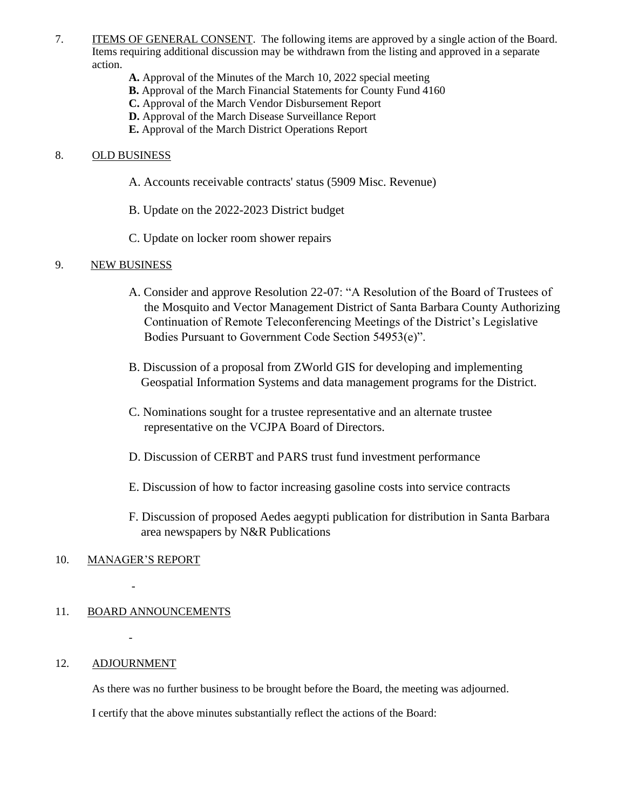- 7. ITEMS OF GENERAL CONSENT. The following items are approved by a single action of the Board. Items requiring additional discussion may be withdrawn from the listing and approved in a separate action.
	- **A.** Approval of the Minutes of the March 10, 2022 special meeting
	- **B.** Approval of the March Financial Statements for County Fund 4160
	- **C.** Approval of the March Vendor Disbursement Report
	- **D.** Approval of the March Disease Surveillance Report
	- **E.** Approval of the March District Operations Report

## 8. OLD BUSINESS

- A. Accounts receivable contracts' status (5909 Misc. Revenue)
- B. Update on the 2022-2023 District budget
- C. Update on locker room shower repairs

## 9. NEW BUSINESS

- A. Consider and approve Resolution 22-07: "A Resolution of the Board of Trustees of the Mosquito and Vector Management District of Santa Barbara County Authorizing Continuation of Remote Teleconferencing Meetings of the District's Legislative Bodies Pursuant to Government Code Section 54953(e)".
- B. Discussion of a proposal from ZWorld GIS for developing and implementing Geospatial Information Systems and data management programs for the District.
- C. Nominations sought for a trustee representative and an alternate trustee representative on the VCJPA Board of Directors.
- D. Discussion of CERBT and PARS trust fund investment performance
- E. Discussion of how to factor increasing gasoline costs into service contracts
- F. Discussion of proposed Aedes aegypti publication for distribution in Santa Barbara area newspapers by N&R Publications

#### 10. MANAGER'S REPORT

*-*

*-*

11. BOARD ANNOUNCEMENTS

#### 12. ADJOURNMENT

As there was no further business to be brought before the Board, the meeting was adjourned.

I certify that the above minutes substantially reflect the actions of the Board: